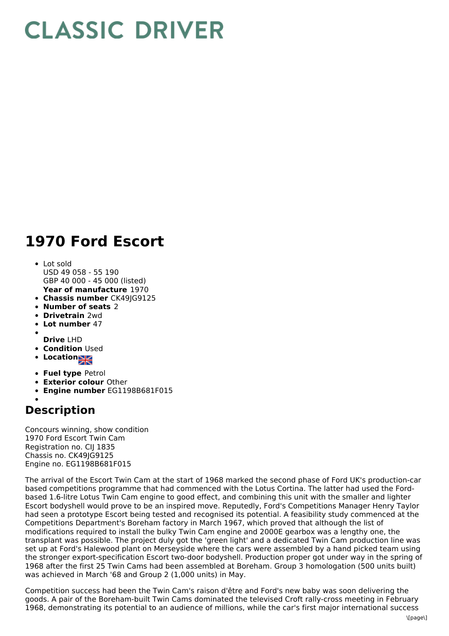## **CLASSIC DRIVER**

## **1970 Ford Escort**

- **Year of manufacture** 1970 Lot sold USD 49 058 - 55 190 GBP 40 000 - 45 000 (listed)
- **Chassis number** CK49JG9125
- **Number of seats** 2
- **Drivetrain** 2wd
- **Lot number** 47
- 
- **Drive** LHD
- **Condition Used**
- **Locations**
- **Fuel type** Petrol
- **Exterior colour** Other
- **Engine number** EG1198B681F015

## **Description**

Concours winning, show condition 1970 Ford Escort Twin Cam Registration no. CIJ 1835 Chassis no. CK49JG9125 Engine no. EG1198B681F015

The arrival of the Escort Twin Cam at the start of 1968 marked the second phase of Ford UK's production-car based competitions programme that had commenced with the Lotus Cortina. The latter had used the Fordbased 1.6-litre Lotus Twin Cam engine to good effect, and combining this unit with the smaller and lighter Escort bodyshell would prove to be an inspired move. Reputedly, Ford's Competitions Manager Henry Taylor had seen a prototype Escort being tested and recognised its potential. A feasibility study commenced at the Competitions Department's Boreham factory in March 1967, which proved that although the list of modifications required to install the bulky Twin Cam engine and 2000E gearbox was a lengthy one, the transplant was possible. The project duly got the 'green light' and a dedicated Twin Cam production line was set up at Ford's Halewood plant on Merseyside where the cars were assembled by a hand picked team using the stronger export-specification Escort two-door bodyshell. Production proper got under way in the spring of 1968 after the first 25 Twin Cams had been assembled at Boreham. Group 3 homologation (500 units built) was achieved in March '68 and Group 2 (1,000 units) in May.

Competition success had been the Twin Cam's raison d'être and Ford's new baby was soon delivering the goods. A pair of the Boreham-built Twin Cams dominated the televised Croft rally-cross meeting in February 1968, demonstrating its potential to an audience of millions, while the car's first major international success